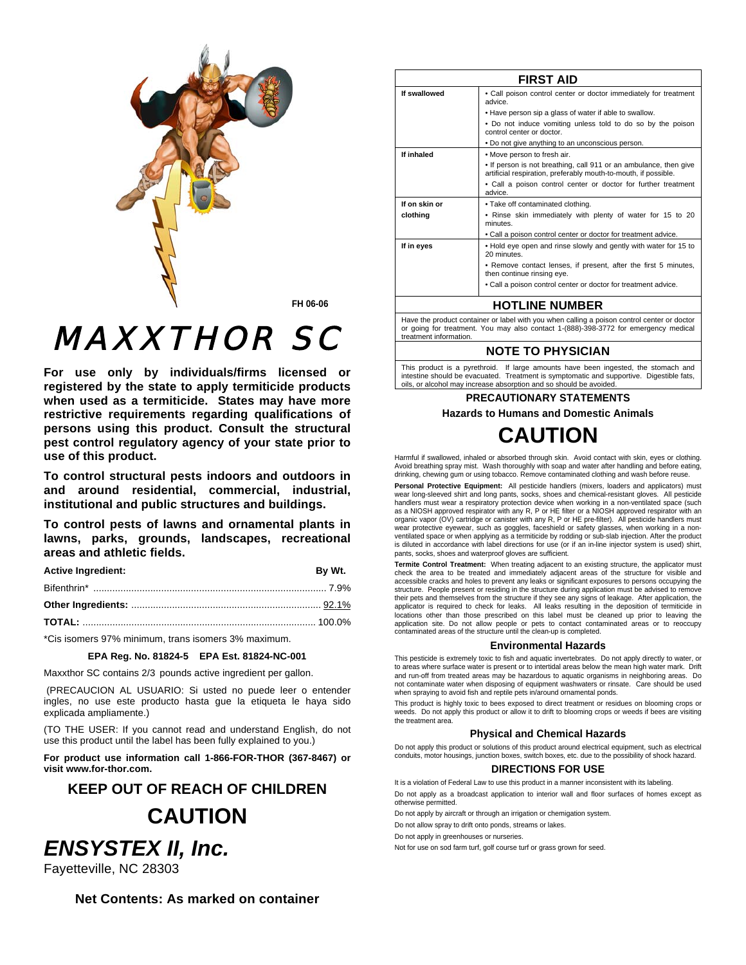

FH 06-06

# *MAXXTHOR SC*

For use only by individuals/firms licensed or registered by the state to apply termiticide products when used as a termiticide. States may have more restrictive requirements regarding qualifications of persons using this product. Consult the structural pest control regulatory agency of your state prior to use of this product.

To control structural pests indoors and outdoors in and around residential, commercial, industrial, institutional and public structures and buildings.

To control pests of lawns and ornamental plants in lawns, parks, grounds, landscapes, recreational areas and athletic fields.

| <b>Active Ingredient:</b> | Bv Wt. |
|---------------------------|--------|
|                           |        |
|                           |        |
|                           |        |

\*Cis isomers 97% minimum, trans isomers 3% maximum.

# EPA Reg. No. 81824-5 EPA Est. 81824-NC-001

Maxxthor SC contains 2/3 pounds active ingredient per gallon.

(PRECAUCION AL USUARIO: Si usted no puede leer o entender ingles, no use este producto hasta que la etiqueta le haya sido explicada ampliamente.)

(TO THE USER: If you cannot read and understand English, do not use this product until the label has been fully explained to you.)

For product use information call 1-866-FOR-THOR (367-8467) or visit www.for-thor.com.

# **KEEP OUT OF REACH OF CHILDREN CAUTION**



| <b>FIRST AID</b> |                                                                                                                                      |  |
|------------------|--------------------------------------------------------------------------------------------------------------------------------------|--|
| If swallowed     | • Call poison control center or doctor immediately for treatment<br>advice.                                                          |  |
|                  | . Have person sip a glass of water if able to swallow.                                                                               |  |
|                  | • Do not induce vomiting unless told to do so by the poison<br>control center or doctor.                                             |  |
|                  | • Do not give anything to an unconscious person.                                                                                     |  |
| If inhaled       | . Move person to fresh air.                                                                                                          |  |
|                  | • If person is not breathing, call 911 or an ambulance, then give<br>artificial respiration, preferably mouth-to-mouth, if possible. |  |
|                  | • Call a poison control center or doctor for further treatment<br>advice.                                                            |  |
| If on skin or    | . Take off contaminated clothing.                                                                                                    |  |
| clothing         | . Rinse skin immediately with plenty of water for 15 to 20<br>minutes.                                                               |  |
|                  | . Call a poison control center or doctor for treatment advice.                                                                       |  |
| If in eyes       | . Hold eye open and rinse slowly and gently with water for 15 to<br>20 minutes.                                                      |  |
|                  | . Remove contact lenses, if present, after the first 5 minutes,<br>then continue rinsing eye.                                        |  |
|                  | . Call a poison control center or doctor for treatment advice.                                                                       |  |
|                  |                                                                                                                                      |  |

# **HOTLINE NUMBER**

Have the product container or label with you when calling a poison control center or doctor or going for treatment. You may also contact 1-(888)-398-3772 for emergency medical treatment information.

# **NOTE TO PHYSICIAN**

This product is a pyrethroid. If large amounts have been ingested, the stomach and intestine should be evacuated. Treatment is symptomatic and supportive. Digestible fats, oils, or alcohol may increase absorption and so should be avoided

# **PRECAUTIONARY STATEMENTS**

**Hazards to Humans and Domestic Animals** 

# **CAUTION**

Harmful if swallowed, inhaled or absorbed through skin. Avoid contact with skin, eyes or clothing. Avoid breathing spray mist. Wash thoroughly with soap and water after handling and before eating, drinking, chewing gum or using tobacco. Remove contaminated clothing and wash before reuse.

Personal Protective Equipment: All pesticide handlers (mixers, loaders and applicators) must wear long-sleeved shirt and long pants, socks, shoes and chemical-resistant gloves. All pesticide handlers must wear a respiratory protection device when working in a non-ventilated space (such<br>as a NIOSH approved respirator with any R, P or HE filter or a NIOSH approved respirator with an organic vapor (OV) cartridge or canister with any R, P or HE pre-filter). All pesticide handlers must<br>wear protective eyewear, such as goggles, faceshield or safety glasses, when working in a nonventilated space or when applying as a termiticide by rodding or sub-slab injection. After the product is diluted in accordance with label directions for use (or if an in-line injector system is used) shirt, pants, socks, shoes and waterproof gloves are sufficient.

Termite Control Treatment: When treating adjacent to an existing structure, the applicator must check the area to be treated and immediately adjacent areas of the structure for visible and accessible cracks and holes to prevent any leaks or significant exposures to persons occupying the structure. People present or residing in the structure during application must be advised to remove their pets and themselves from the structure if they see any signs of leakage. After application, the applicator is required to check for leaks. All leaks resulting in the deposition of termiticide in locations other than those prescribed on this label must be cleaned up prior to leaving the application site. Do not allow people or pets to contact contaminated areas or to reoccupy contaminated areas of the structure until the clean-up is completed.

#### **Environmental Hazards**

This pesticide is extremely toxic to fish and aquatic invertebrates. Do not apply directly to water, or to areas where surface water is present or to intertidal areas below the mean high water mark. Drift and run-off from treated areas may be hazardous to aquatic organisms in neighboring areas. Do not contaminate water when disposing of equipment washwaters or rinsate. Care should be used<br>when spraying to avoid fish and reptile pets in/around ornamental ponds.

This product is highly toxic to bees exposed to direct treatment or residues on blooming crops or weeds. Do not apply this product or allow it to drift to blooming crops or weeds if bees are visiting the treatment area.

# **Physical and Chemical Hazards**

Do not apply this product or solutions of this product around electrical equipment, such as electrical conduits, motor housings, junction boxes, switch boxes, etc. due to the possibility of shock hazard.

# **DIRECTIONS FOR USE**

It is a violation of Federal Law to use this product in a manner inconsistent with its labeling.

Do not apply as a broadcast application to interior wall and floor surfaces of homes except as otherwise permitted.

Do not apply by aircraft or through an irrigation or chemigation system.

Do not allow spray to drift onto ponds, streams or lakes.

Do not apply in greenhouses or nurseries

Not for use on sod farm turf, golf course turf or grass grown for seed.

Fayetteville, NC 28303

**ENSYSTEX II, Inc.** 

Net Contents: As marked on container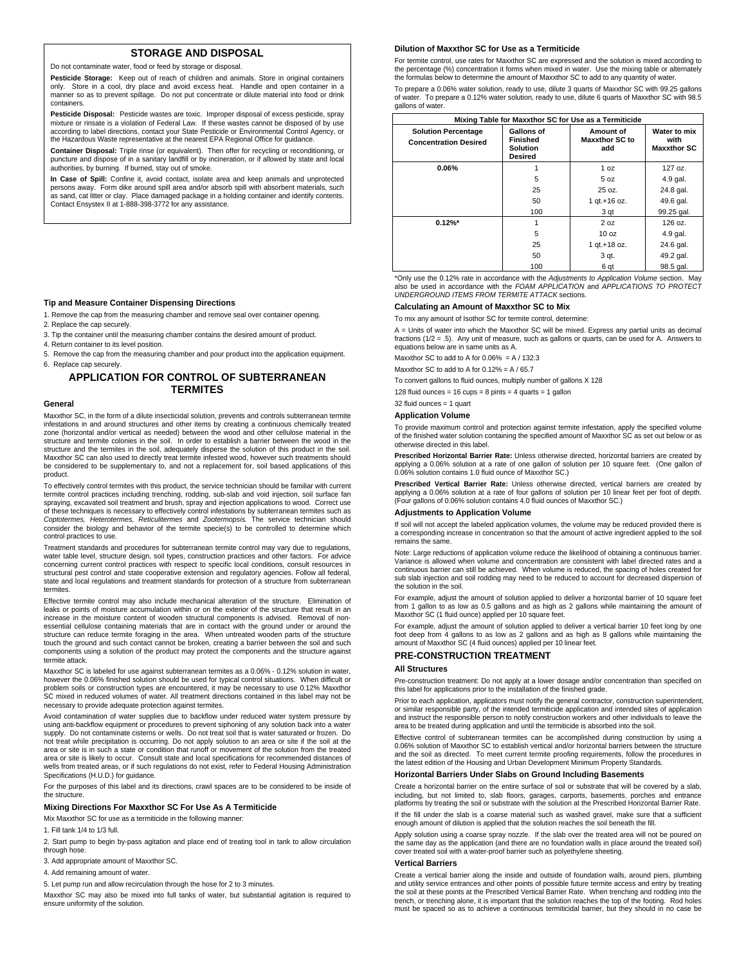# **STORAGE AND DISPOSAL**

Do not contaminate water, food or feed by storage or disposal.

**Pesticide Storage:** Keep out of reach of children and animals. Store in original containers only. Store in a cool, dry place and avoid excess heat. Handle and open container in a manner so as to prevent spillage. Do not put concentrate or dilute material into food or drink containers.

**Pesticide Disposal:** Pesticide wastes are toxic. Improper disposal of excess pesticide, spray mixture or rinsate is a violation of Federal Law. If these wastes cannot be disposed of by use according to label directions, contact your State Pesticide or Environmental Control Agency, or the Hazardous Waste representative at the nearest EPA Regional Office for guidance.

**Container Disposal:** Triple rinse (or equivalent). Then offer for recycling or reconditioning, or puncture and dispose of in a sanitary landfill or by incineration, or if allowed by state and local authorities, by burning. If burned, stay out of smoke.

**In Case of Spill:** Confine it, avoid contact, isolate area and keep animals and unprotected persons away. Form dike around spill area and/or absorb spill with absorbent materials, such as sand, cat litter or clay. Place damaged package in a holding container and identify contents. Contact Ensystex II at 1-888-398-3772 for any assistance.

#### **Tip and Measure Container Dispensing Directions**

- 1. Remove the cap from the measuring chamber and remove seal over container opening. 2. Replace the cap securely.
- 3. Tip the container until the measuring chamber contains the desired amount of product.
- 4. Return container to its level position.
- 5. Remove the cap from the measuring chamber and pour product into the application equipment. 6. Replace cap securely.

# **APPLICATION FOR CONTROL OF SUBTERRANEAN TERMITES**

#### **General**

Maxxthor SC, in the form of a dilute insecticidal solution, prevents and controls subterranean termite infestations in and around structures and other items by creating a continuous chemically treated zone (horizontal and/or vertical as needed) between the wood and other cellulose material in the structure and termite colonies in the soil. In order to establish a barrier between the wood in the structure and the termites in the soil, adequately disperse the solution of this product in the soil. Maxxthor SC can also used to directly treat termite infested wood, however such treatments should be considered to be supplementary to, and not a replacement for, soil based applications of this product.

To effectively control termites with this product, the service technician should be familiar with current termite control practices including trenching, rodding, sub-slab and void injection, soil surface fan spraying, excavated soil treatment and brush, spray and injection applications to wood. Correct use of these techniques is necessary to effectively control infestations by subterranean termites such as *Coptotermes, Heterotermes, Reticulitermes* and *Zootermopsis.* The service technician should consider the biology and behavior of the termite specie(s) to be controlled to determine which control practices to use.

Treatment standards and procedures for subterranean termite control may vary due to regulations, water table level, structure design, soil types, construction practices and other factors. For advice concerning current control practices with respect to specific local conditions, consult resources in structural pest control and state cooperative extension and regulatory agencies. Follow all federal, state and local regulations and treatment standards for protection of a structure from subterranean termites.

Effective termite control may also include mechanical alteration of the structure. Elimination of leaks or points of moisture accumulation within or on the exterior of the structure that result in an increase in the moisture content of wooden structural components is advised. Removal of nonessential cellulose containing materials that are in contact with the ground under or around the structure can reduce termite foraging in the area. When untreated wooden parts of the structure touch the ground and such contact cannot be broken, creating a barrier between the soil and such components using a solution of the product may protect the components and the structure against termite attack.

Maxxthor SC is labeled for use against subterranean termites as a 0.06% - 0.12% solution in water, however the 0.06% finished solution should be used for typical control situations. When difficult or problem soils or construction types are encountered, it may be necessary to use 0.12% Maxxthor SC mixed in reduced volumes of water. All treatment directions contained in this label may not be necessary to provide adequate protection against termites.

Avoid contamination of water supplies due to backflow under reduced water system pressure by using anti-backflow equipment or procedures to prevent siphoning of any solution back into a water supply. Do not contaminate cisterns or wells. Do not treat soil that is water saturated or frozen. Do not treat while precipitation is occurring. Do not apply solution to an area or site if the soil at the area or site is in such a state or condition that runoff or movement of the solution from the treated area or site is likely to occur. Consult state and local specifications for recommended distances of wells from treated areas, or if such regulations do not exist, refer to Federal Housing Administration Specifications (H.U.D.) for guidance.

For the purposes of this label and its directions, crawl spaces are to be considered to be inside of the structure.

#### **Mixing Directions For Maxxthor SC For Use As A Termiticide**

Mix Maxxthor SC for use as a termiticide in the following manner:

1. Fill tank 1/4 to 1/3 full.

2. Start pump to begin by-pass agitation and place end of treating tool in tank to allow circulation through hose

3. Add appropriate amount of Maxxthor SC.

4. Add remaining amount of water.

5. Let pump run and allow recirculation through the hose for 2 to 3 minutes.

Maxxthor SC may also be mixed into full tanks of water, but substantial agitation is required to ensure uniformity of the solution.

# **Dilution of Maxxthor SC for Use as a Termiticide**

For termite control, use rates for Maxxthor SC are expressed and the solution is mixed according to the percentage (%) concentration it forms when mixed in water. Use the mixing table or alternately the formulas below to determine the amount of Maxxthor SC to add to any quantity of water.

To prepare a 0.06% water solution, ready to use, dilute 3 quarts of Maxxthor SC with 99.25 gallons of water. To prepare a 0.12% water solution, ready to use, dilute 6 quarts of Maxxthor SC with 98.5 gallons of water.

| Mixing Table for Maxxthor SC for Use as a Termiticide      |                                                                    |                                           |                                            |
|------------------------------------------------------------|--------------------------------------------------------------------|-------------------------------------------|--------------------------------------------|
| <b>Solution Percentage</b><br><b>Concentration Desired</b> | Gallons of<br><b>Finished</b><br><b>Solution</b><br><b>Desired</b> | Amount of<br><b>Maxxthor SC to</b><br>add | Water to mix<br>with<br><b>Maxxthor SC</b> |
| 0.06%                                                      |                                                                    | 1 oz                                      | 127 oz.                                    |
|                                                            | 5                                                                  | 5 oz                                      | 4.9 gal.                                   |
|                                                            | 25                                                                 | 25 oz.                                    | 24.8 gal.                                  |
|                                                            | 50                                                                 | 1 gt.+16 oz.                              | 49.6 gal.                                  |
|                                                            | 100                                                                | 3 qt                                      | 99.25 gal.                                 |
| $0.12\%$ *                                                 |                                                                    | 2 oz                                      | 126 oz.                                    |
|                                                            | 5                                                                  | 10 <sub>oz</sub>                          | 4.9 gal.                                   |
|                                                            | 25                                                                 | 1 gt.+18 oz.                              | 24.6 gal.                                  |
|                                                            | 50                                                                 | 3 qt.                                     | 49.2 gal.                                  |
|                                                            | 100                                                                | 6 qt                                      | 98.5 gal.                                  |

\*Only use the 0.12% rate in accordance with the *Adjustments to Application Volume* section. May also be used in accordance with the *FOAM APPLICATION* and *APPLICATIONS TO PROTECT UNDERGROUND ITEMS FROM TERMITE ATTACK* sections.

# **Calculating an Amount of Maxxthor SC to Mix**

To mix any amount of Isothor SC for termite control, determine:

A = Units of water into which the Maxxthor SC will be mixed. Express any partial units as decimal fractions (1/2 = .5). Any unit of measure, such as gallons or quarts, can be used for A. Answers to equations below are in same units as A.

Maxxthor SC to add to A for  $0.06\% = A / 132.3$ 

Maxxthor SC to add to A for  $0.12\% = A / 65.7$ 

To convert gallons to fluid ounces, multiply number of gallons X 128

128 fluid ounces =  $16$  cups = 8 pints = 4 quarts = 1 gallon

32 fluid ounces = 1 quart

#### **Application Volume**

To provide maximum control and protection against termite infestation, apply the specified volume of the finished water solution containing the specified amount of Maxxthor SC as set out below or as otherwise directed in this label.

**Prescribed Horizontal Barrier Rate:** Unless otherwise directed, horizontal barriers are created by applying a 0.06% solution at a rate of one gallon of solution per 10 square feet. (One gallon of 0.06% solution contains 1.0 fluid ounce of Maxxthor SC.)

**Prescribed Vertical Barrier Rate:** Unless otherwise directed, vertical barriers are created by applying a 0.06% solution at a rate of four gallons of solution per 10 linear feet per foot of depth. (Four gallons of 0.06% solution contains 4.0 fluid ounces of Maxxthor SC.)

#### **Adjustments to Application Volume**

If soil will not accept the labeled application volumes, the volume may be reduced provided there is a corresponding increase in concentration so that the amount of active ingredient applied to the soil remains the same.

Note: Large reductions of application volume reduce the likelihood of obtaining a continuous barrier. Variance is allowed when volume and concentration are consistent with label directed rates and a continuous barrier can still be achieved. When volume is reduced, the spacing of holes created for sub slab injection and soil rodding may need to be reduced to account for decreased dispersion of the solution in the soil.

For example, adjust the amount of solution applied to deliver a horizontal barrier of 10 square feet from 1 gallon to as low as 0.5 gallons and as high as 2 gallons while maintaining the amount of Maxxthor SC (1 fluid ounce) applied per 10 square feet.

For example, adjust the amount of solution applied to deliver a vertical barrier 10 feet long by one foot deep from 4 gallons to as low as 2 gallons and as high as 8 gallons while maintaining the amount of Maxxthor SC (4 fluid ounces) applied per 10 linear feet.

#### **PRE-CONSTRUCTION TREATMENT**

#### **All Structures**

Pre-construction treatment: Do not apply at a lower dosage and/or concentration than specified on this label for applications prior to the installation of the finished grade.

Prior to each application, applicators must notify the general contractor, construction superintendent, or similar responsible party, of the intended termiticide application and intended sites of application and instruct the responsible person to notify construction workers and other individuals to leave the area to be treated during application and until the termiticide is absorbed into the soil.

Effective control of subterranean termites can be accomplished during construction by using a 0.06% solution of Maxxthor SC to establish vertical and/or horizontal barriers between the structure and the soil as directed. To meet current termite proofing requirements, follow the procedures in the latest edition of the Housing and Urban Development Minimum Property Standards.

#### **Horizontal Barriers Under Slabs on Ground Including Basements**

Create a horizontal barrier on the entire surface of soil or substrate that will be covered by a slab, including, but not limited to, slab floors, garages, carports, basements, porches and entrance platforms by treating the soil or substrate with the solution at the Prescribed Horizontal Barrier Rate. If the fill under the slab is a coarse material such as washed gravel, make sure that a sufficient

enough amount of dilution is applied that the solution reaches the soil beneath the fill.

Apply solution using a coarse spray nozzle. If the slab over the treated area will not be poured on the same day as the application (and there are no foundation walls in place around the treated soil) cover treated soil with a water-proof barrier such as polyethylene sheeting.

#### **Vertical Barriers**

Create a vertical barrier along the inside and outside of foundation walls, around piers, plumbing and utility service entrances and other points of possible future termite access and entry by treating the soil at these points at the Prescribed Vertical Barrier Rate. When trenching and rodding into the trench, or trenching alone, it is important that the solution reaches the top of the footing. Rod holes must be spaced so as to achieve a continuous termiticidal barrier, but they should in no case be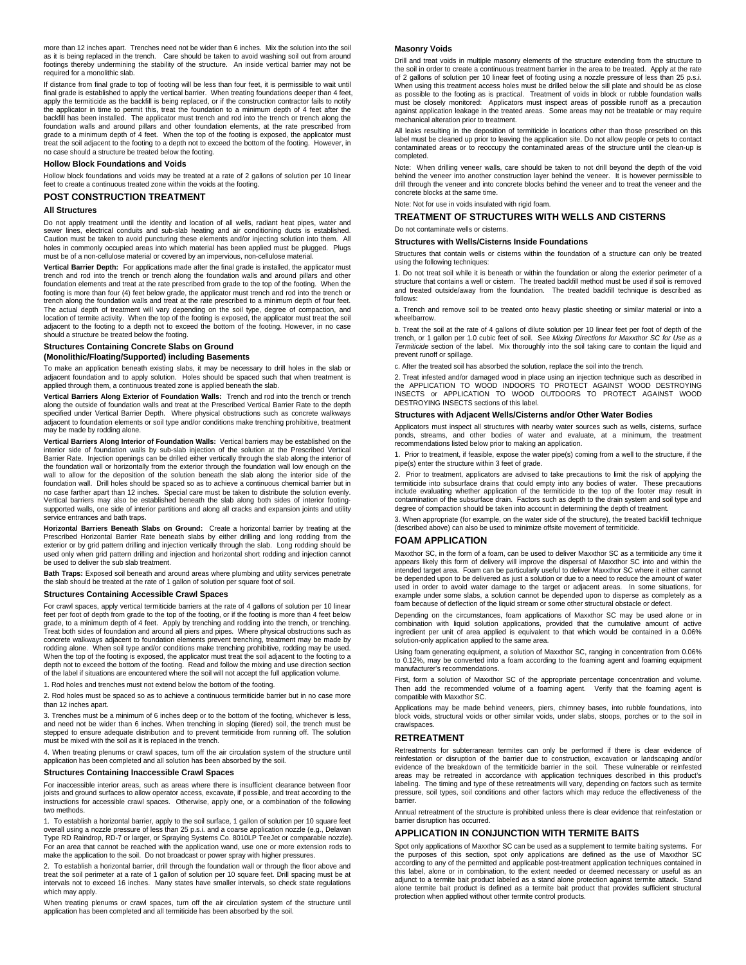more than 12 inches apart. Trenches need not be wider than 6 inches. Mix the solution into the soil as it is being replaced in the trench. Care should be taken to avoid washing soil out from around footings thereby undermining the stability of the structure. An inside vertical barrier may not be required for a monolithic slab.

If distance from final grade to top of footing will be less than four feet, it is permissible to wait until final grade is established to apply the vertical barrier. When treating foundations deeper than 4 feet, apply the termiticide as the backfill is being replaced, or if the construction contractor fails to notify the applicator in time to permit this, treat the foundation to a minimum depth of 4 feet after the backfill has been installed. The applicator must trench and rod into the trench or trench along the foundation walls and around pillars and other foundation elements, at the rate prescribed from grade to a minimum depth of 4 feet. When the top of the footing is exposed, the applicator must treat the soil adjacent to the footing to a depth not to exceed the bottom of the footing. However, in no case should a structure be treated below the footing.

#### **Hollow Block Foundations and Voids**

Hollow block foundations and voids may be treated at a rate of 2 gallons of solution per 10 linear feet to create a continuous treated zone within the voids at the footing.

#### **POST CONSTRUCTION TREATMENT**

#### **All Structures**

Do not apply treatment until the identity and location of all wells, radiant heat pipes, water and sewer lines, electrical conduits and sub-slab heating and air conditioning ducts is established. Caution must be taken to avoid puncturing these elements and/or injecting solution into them. All holes in commonly occupied areas into which material has been applied must be plugged. Plugs must be of a non-cellulose material or covered by an impervious, non-cellulose material.

**Vertical Barrier Depth:** For applications made after the final grade is installed, the applicator must trench and rod into the trench or trench along the foundation walls and around pillars and other foundation elements and treat at the rate prescribed from grade to the top of the footing. When the footing is more than four (4) feet below grade, the applicator must trench and rod into the trench or trench along the foundation walls and treat at the rate prescribed to a minimum depth of four feet. The actual depth of treatment will vary depending on the soil type, degree of compaction, and location of termite activity. When the top of the footing is exposed, the applicator must treat the soil adjacent to the footing to a depth not to exceed the bottom of the footing. However, in no case should a structure be treated below the footing.

# **Structures Containing Concrete Slabs on Ground**

#### **(Monolithic/Floating/Supported) including Basements**

To make an application beneath existing slabs, it may be necessary to drill holes in the slab or adjacent foundation and to apply solution. Holes should be spaced such that when treatment is applied through them, a continuous treated zone is applied beneath the slab.

**Vertical Barriers Along Exterior of Foundation Walls:** Trench and rod into the trench or trench along the outside of foundation walls and treat at the Prescribed Vertical Barrier Rate to the depth specified under Vertical Barrier Depth. Where physical obstructions such as concrete walkways adjacent to foundation elements or soil type and/or conditions make trenching prohibitive, treatment may be made by rodding alone.

**Vertical Barriers Along Interior of Foundation Walls:** Vertical barriers may be established on the interior side of foundation walls by sub-slab injection of the solution at the Prescribed Vertical Barrier Rate. Injection openings can be drilled either vertically through the slab along the interior of the foundation wall or horizontally from the exterior through the foundation wall low enough on the wall to allow for the deposition of the solution beneath the slab along the interior side of the foundation wall. Drill holes should be spaced so as to achieve a continuous chemical barrier but in no case farther apart than 12 inches. Special care must be taken to distribute the solution evenly. Vertical barriers may also be established beneath the slab along both sides of interior footingsupported walls, one side of interior partitions and along all cracks and expansion joints and utility service entrances and bath traps.

**Horizontal Barriers Beneath Slabs on Ground:** Create a horizontal barrier by treating at the Prescribed Horizontal Barrier Rate beneath slabs by either drilling and long rodding from the exterior or by grid pattern drilling and injection vertically through the slab. Long rodding should be used only when grid pattern drilling and injection and horizontal short rodding and injection cannot be used to deliver the sub slab treatment.

**Bath Traps:** Exposed soil beneath and around areas where plumbing and utility services penetrate the slab should be treated at the rate of 1 gallon of solution per square foot of soil.

#### **Structures Containing Accessible Crawl Spaces**

For crawl spaces, apply vertical termiticide barriers at the rate of 4 gallons of solution per 10 linear feet per foot of depth from grade to the top of the footing, or if the footing is more than 4 feet below grade, to a minimum depth of 4 feet. Apply by trenching and rodding into the trench, or trenching. Treat both sides of foundation and around all piers and pipes. Where physical obstructions such as concrete walkways adjacent to foundation elements prevent trenching, treatment may be made by rodding alone. When soil type and/or conditions make trenching prohibitive, rodding may be used. When the top of the footing is exposed, the applicator must treat the soil adjacent to the footing to a depth not to exceed the bottom of the footing. Read and follow the mixing and use direction section of the label if situations are encountered where the soil will not accept the full application volume.

1. Rod holes and trenches must not extend below the bottom of the footing.

2. Rod holes must be spaced so as to achieve a continuous termiticide barrier but in no case more than 12 inches apart.

3. Trenches must be a minimum of 6 inches deep or to the bottom of the footing, whichever is less, and need not be wider than 6 inches. When trenching in sloping (tiered) soil, the trench must be stepped to ensure adequate distribution and to prevent termiticide from running off. The solution must be mixed with the soil as it is replaced in the trench.

4. When treating plenums or crawl spaces, turn off the air circulation system of the structure until application has been completed and all solution has been absorbed by the soil.

#### **Structures Containing Inaccessible Crawl Spaces**

For inaccessible interior areas, such as areas where there is insufficient clearance between floor joists and ground surfaces to allow operator access, excavate, if possible, and treat according to the instructions for accessible crawl spaces. Otherwise, apply one, or a combination of the following two methods.

1. To establish a horizontal barrier, apply to the soil surface, 1 gallon of solution per 10 square feet overall using a nozzle pressure of less than 25 p.s.i. and a coarse application nozzle (e.g., Delavan<br>Type RD Raindrop, RD-7 or larger, or Spraying Systems Co. 8010LP TeeJet or comparable nozzle).<br>For an area that cannot b make the application to the soil. Do not broadcast or power spray with higher pressures.

2. To establish a horizontal barrier, drill through the foundation wall or through the floor above and treat the soil perimeter at a rate of 1 gallon of solution per 10 square feet. Drill spacing must be at intervals not to exceed 16 inches. Many states have smaller intervals, so check state regulations which may apply.

When treating plenums or crawl spaces, turn off the air circulation system of the structure until application has been completed and all termiticide has been absorbed by the soil.

#### **Masonry Voids**

Drill and treat voids in multiple masonry elements of the structure extending from the structure to the soil in order to create a continuous treatment barrier in the area to be treated. Apply at the rate of 2 gallons of solution per 10 linear feet of footing using a nozzle pressure of less than 25 p.s.i. When using this treatment access holes must be drilled below the sill plate and should be as close as possible to the footing as is practical. Treatment of voids in block or rubble foundation walls must be closely monitored: Applicators must inspect areas of possible runoff as a precaution against application leakage in the treated areas. Some areas may not be treatable or may require mechanical alteration prior to treatment.

All leaks resulting in the deposition of termiticide in locations other than those prescribed on this label must be cleaned up prior to leaving the application site. Do not allow people or pets to contact contaminated areas or to reoccupy the contaminated areas of the structure until the clean-up is completed.

Note: When drilling veneer walls, care should be taken to not drill beyond the depth of the void behind the veneer into another construction layer behind the veneer. It is however permissible to drill through the veneer and into concrete blocks behind the veneer and to treat the veneer and the concrete blocks at the same time.

# Note: Not for use in voids insulated with rigid foam.

# **TREATMENT OF STRUCTURES WITH WELLS AND CISTERNS**

Do not contaminate wells or cisterns.

### **Structures with Wells/Cisterns Inside Foundations**

Structures that contain wells or cisterns within the foundation of a structure can only be treated using the following techniques:

1. Do not treat soil while it is beneath or within the foundation or along the exterior perimeter of a structure that contains a well or cistern. The treated backfill method must be used if soil is removed and treated outside/away from the foundation. The treated backfill technique is described as follows:

a. Trench and remove soil to be treated onto heavy plastic sheeting or similar material or into a wheelbarrow.

b. Treat the soil at the rate of 4 gallons of dilute solution per 10 linear feet per foot of depth of the trench, or 1 gallon per 1.0 cubic feet of soil. See *Mixing Directions for Maxxthor SC for Use as a Termiticide* section of the label. Mix thoroughly into the soil taking care to contain the liquid and prevent runoff or spillage.

c. After the treated soil has absorbed the solution, replace the soil into the trench.

2. Treat infested and/or damaged wood in place using an injection technique such as described in the APPLICATION TO WOOD INDOORS TO PROTECT AGAINST WOOD DESTROYING INSECTS or APPLICATION TO WOOD OUTDOORS TO PROTECT AGAINST WOOD DESTROYING INSECTS sections of this label.

### **Structures with Adjacent Wells/Cisterns and/or Other Water Bodies**

Applicators must inspect all structures with nearby water sources such as wells, cisterns, surface ponds, streams, and other bodies of water and evaluate, at a minimum, the treatment recommendations listed below prior to making an application.

1. Prior to treatment, if feasible, expose the water pipe(s) coming from a well to the structure, if the pipe(s) enter the structure within 3 feet of grade.

2. Prior to treatment, applicators are advised to take precautions to limit the risk of applying the termiticide into subsurface drains that could empty into any bodies of water. These precautions include evaluating whether application of the termiticide to the top of the footer may result in contamination of the subsurface drain. Factors such as depth to the drain system and soil type and degree of compaction should be taken into account in determining the depth of treatment.

3. When appropriate (for example, on the water side of the structure), the treated backfill technique (described above) can also be used to minimize offsite movement of termiticide.

# **FOAM APPLICATION**

Maxxthor SC, in the form of a foam, can be used to deliver Maxxthor SC as a termiticide any time it appears likely this form of delivery will improve the dispersal of Maxxthor SC into and within the intended target area. Foam can be particularly useful to deliver Maxxthor SC where it either cannot be depended upon to be delivered as just a solution or due to a need to reduce the amount of water used in order to avoid water damage to the target or adjacent areas. In some situations, for example under some slabs, a solution cannot be depended upon to disperse as completely as a foam because of deflection of the liquid stream or some other structural obstacle or defect.

Depending on the circumstances, foam applications of Maxxthor SC may be used alone or in combination with liquid solution applications, provided that the cumulative amount of active ingredient per unit of area applied is equivalent to that which would be contained in a 0.06% solution-only application applied to the same area.

Using foam generating equipment, a solution of Maxxthor SC, ranging in concentration from 0.06% to 0.12%, may be converted into a foam according to the foaming agent and foaming equipment manufacturer's recommendations.

First, form a solution of Maxxthor SC of the appropriate percentage concentration and volume. Then add the recommended volume of a foaming agent. Verify that the foaming agent is compatible with Maxxthor SC.

Applications may be made behind veneers, piers, chimney bases, into rubble foundations, into block voids, structural voids or other similar voids, under slabs, stoops, porches or to the soil in crawlspaces.

### **RETREATMENT**

Retreatments for subterranean termites can only be performed if there is clear evidence of reinfestation or disruption of the barrier due to construction, excavation or landscaping and/or evidence of the breakdown of the termiticide barrier in the soil. These vulnerable or reinfested areas may be retreated in accordance with application techniques described in this product's labeling. The timing and type of these retreatments will vary, depending on factors such as termite pressure, soil types, soil conditions and other factors which may reduce the effectiveness of the barrier.

Annual retreatment of the structure is prohibited unless there is clear evidence that reinfestation or barrier disruption has occurred.

# **APPLICATION IN CONJUNCTION WITH TERMITE BAITS**

Spot only applications of Maxxthor SC can be used as a supplement to termite baiting systems. For the purposes of this section, spot only applications are defined as the use of Maxxthor SC according to any of the permitted and applicable post-treatment application techniques contained in this label, alone or in combination, to the extent needed or deemed necessary or useful as an adjunct to a termite bait product labeled as a stand alone protection against termite attack. Stand alone termite bait product is defined as a termite bait product that provides sufficient structural protection when applied without other termite control products.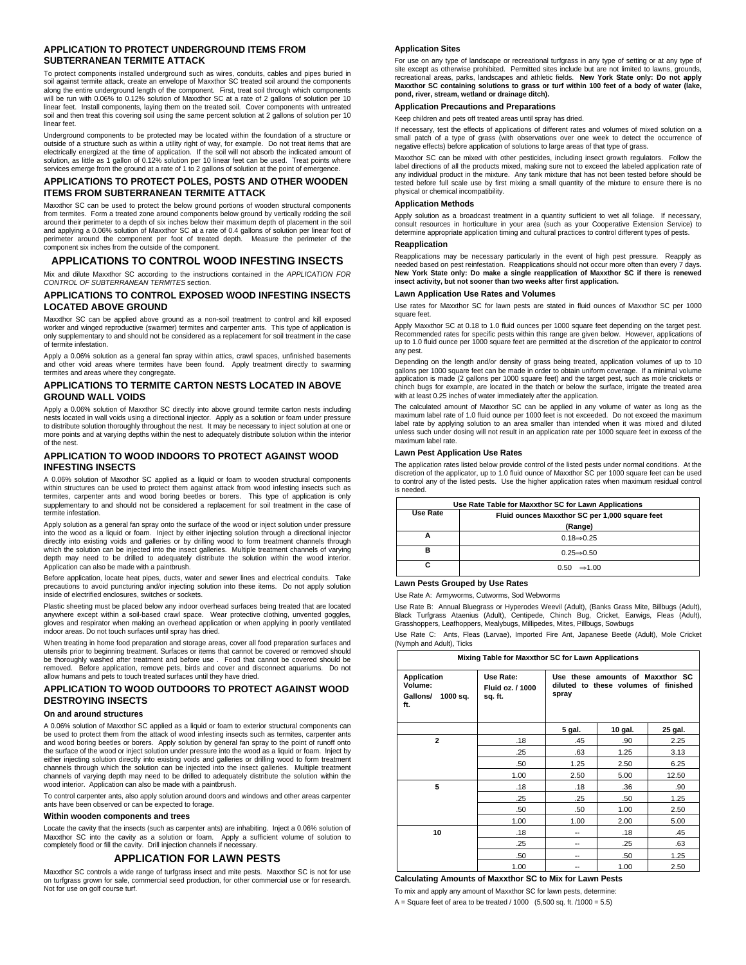# **APPLICATION TO PROTECT UNDERGROUND ITEMS FROM SUBTERRANEAN TERMITE ATTACK**

To protect components installed underground such as wires, conduits, cables and pipes buried in soil against termite attack, create an envelope of Maxxthor SC treated soil around the components along the entire underground length of the component. First, treat soil through which components will be run with 0.06% to 0.12% solution of Maxxthor SC at a rate of 2 gallons of solution per 10 linear feet. Install components, laying them on the treated soil. Cover components with untreated soil and then treat this covering soil using the same percent solution at 2 gallons of solution per 10 linear feet.

Underground components to be protected may be located within the foundation of a structure or outside of a structure such as within a utility right of way, for example. Do not treat items that are electrically energized at the time of application. If the soil will not absorb the indicated amount of solution, as little as 1 gallon of 0.12% solution per 10 linear feet can be used. Treat points where services emerge from the ground at a rate of 1 to 2 gallons of solution at the point of emergence.

# **APPLICATIONS TO PROTECT POLES, POSTS AND OTHER WOODEN ITEMS FROM SUBTERRANEAN TERMITE ATTACK**

Maxxthor SC can be used to protect the below ground portions of wooden structural components from termites. Form a treated zone around components below ground by vertically rodding the soil around their perimeter to a depth of six inches below their maximum depth of placement in the soil and applying a 0.06% solution of Maxxthor SC at a rate of 0.4 gallons of solution per linear foot of perimeter around the component per foot of treated depth. Measure the perimeter of the component six inches from the outside of the component.

#### **APPLICATIONS TO CONTROL WOOD INFESTING INSECTS**

Mix and dilute Maxxthor SC according to the instructions contained in the *APPLICATION FOR CONTROL OF SUBTERRANEAN TERMITES* section.

# **APPLICATIONS TO CONTROL EXPOSED WOOD INFESTING INSECTS LOCATED ABOVE GROUND**

Maxxthor SC can be applied above ground as a non-soil treatment to control and kill exposed worker and winged reproductive (swarmer) termites and carpenter ants. This type of application is only supplementary to and should not be considered as a replacement for soil treatment in the case of termite infestation.

Apply a 0.06% solution as a general fan spray within attics, crawl spaces, unfinished basements and other void areas where termites have been found. Apply treatment directly to swarming termites and areas where they congregate.

# **APPLICATIONS TO TERMITE CARTON NESTS LOCATED IN ABOVE GROUND WALL VOIDS**

Apply a 0.06% solution of Maxxthor SC directly into above ground termite carton nests including nests located in wall voids using a directional injector. Apply as a solution or foam under pressure<br>to distribute solution thoroughly throughout the nest. It may be necessary to inject solution at one or<br>more points and of the nest.

# **APPLICATION TO WOOD INDOORS TO PROTECT AGAINST WOOD INFESTING INSECTS**

A 0.06% solution of Maxxthor SC applied as a liquid or foam to wooden structural components within structures can be used to protect them against attack from wood infesting insects such as termites, carpenter ants and wood boring beetles or borers. This type of application is only supplementary to and should not be considered a replacement for soil treatment in the case of termite infestation.

Apply solution as a general fan spray onto the surface of the wood or inject solution under pressure into the wood as a liquid or foam. Inject by either injecting solution through a directional injector directly into existing voids and galleries or by drilling wood to form treatment channels through which the solution can be injected into the insect galleries. Multiple treatment channels of varying depth may need to be drilled to adequately distribute the solution within the wood interior. Application can also be made with a paintbrush.

Before application, locate heat pipes, ducts, water and sewer lines and electrical conduits. Take precautions to avoid puncturing and/or injecting solution into these items. Do not apply solution inside of electrified enclosures, switches or sockets.

Plastic sheeting must be placed below any indoor overhead surfaces being treated that are located anywhere except within a soil-based crawl space. Wear protective clothing, unvented goggles, gloves and respirator when making an overhead application or when applying in poorly ventilated indoor areas. Do not touch surfaces until spray has dried.

When treating in home food preparation and storage areas, cover all food preparation surfaces and utensils prior to beginning treatment. Surfaces or items that cannot be covered or removed should be thoroughly washed after treatment and before use . Food that cannot be covered should be removed. Before application, remove pets, birds and cover and disconnect aquariums. Do not allow humans and pets to touch treated surfaces until they have dried.

# **APPLICATION TO WOOD OUTDOORS TO PROTECT AGAINST WOOD DESTROYING INSECTS**

# **On and around structures**

A 0.06% solution of Maxxthor SC applied as a liquid or foam to exterior structural components can be used to protect them from the attack of wood infesting insects such as termites, carpenter ants and wood boring beetles or borers. Apply solution by general fan spray to the point of runoff onto the surface of the wood or inject solution under pressure into the wood as a liquid or foam. Inject by either injecting solution directly into existing voids and galleries or drilling wood to form treatment channels through which the solution can be injected into the insect galleries. Multiple treatment channels of varying depth may need to be drilled to adequately distribute the solution within the wood interior. Application can also be made with a paintbrush.

To control carpenter ants, also apply solution around doors and windows and other areas carpenter ants have been observed or can be expected to forage.

# **Within wooden components and trees**

Locate the cavity that the insects (such as carpenter ants) are inhabiting. Inject a 0.06% solution of<br>Maxxthor SC into the cavity as a solution or foam. Apply a sufficient volume of solution to<br>completely flood or fill th

# **APPLICATION FOR LAWN PESTS**

Maxxthor SC controls a wide range of turfgrass insect and mite pests. Maxxthor SC is not for use on turfgrass grown for sale, commercial seed production, for other commercial use or for research. Not for use on golf course turf.

#### **Application Sites**

For use on any type of landscape or recreational turfgrass in any type of setting or at any type of site except as otherwise prohibited. Permitted sites include but are not limited to lawns, grounds, recreational areas, parks, landscapes and athletic fields. **New York State only: Do not apply Maxxthor SC containing solutions to grass or turf within 100 feet of a body of water (lake, pond, river, stream, wetland or drainage ditch).** 

# **Application Precautions and Preparations**

Keep children and pets off treated areas until spray has dried.

If necessary, test the effects of applications of different rates and volumes of mixed solution on a small patch of a type of grass (with observations over one week to detect the occurrence of negative effects) before application of solutions to large areas of that type of grass.

Maxxthor SC can be mixed with other pesticides, including insect growth regulators. Follow the label directions of all the products mixed, making sure not to exceed the labeled application rate of any individual product in the mixture. Any tank mixture that has not been tested before should be tested before full scale use by first mixing a small quantity of the mixture to ensure there is no physical or chemical incompatibility.

# **Application Methods**

Apply solution as a broadcast treatment in a quantity sufficient to wet all foliage. If necessary, consult resources in horticulture in your area (such as your Cooperative Extension Service) to determine appropriate application timing and cultural practices to control different types of pests.

# **Reapplication**

Reapplications may be necessary particularly in the event of high pest pressure. Reapply as needed based on pest reinfestation. Reapplications should not occur more often than every 7 days. **New York State only: Do make a single reapplication of Maxxthor SC if there is renewed insect activity, but not sooner than two weeks after first application.** 

# **Lawn Application Use Rates and Volumes**

Use rates for Maxxthor SC for lawn pests are stated in fluid ounces of Maxxthor SC per 1000 square feet.

Apply Maxxthor SC at 0.18 to 1.0 fluid ounces per 1000 square feet depending on the target pest. Recommended rates for specific pests within this range are given below. However, applications of up to 1.0 fluid ounce per 1000 square feet are permitted at the discretion of the applicator to control any pest.

Depending on the length and/or density of grass being treated, application volumes of up to 10 gallons per 1000 square feet can be made in order to obtain uniform coverage. If a minimal volume application is made (2 gallons per 1000 square feet) and the target pest, such as mole crickets or chinch bugs for example, are located in the thatch or below the surface, irrigate the treated area with at least 0.25 inches of water immediately after the application.

The calculated amount of Maxxthor SC can be applied in any volume of water as long as the maximum label rate of 1.0 fluid ounce per 1000 feet is not exceeded. Do not exceed the maximum label rate by applying solution to an area smaller than intended when it was mixed and diluted unless such under dosing will not result in an application rate per 1000 square feet in excess of the maximum label rate.

#### **Lawn Pest Application Use Rates**

The application rates listed below provide control of the listed pests under normal conditions. At the discretion of the applicator, up to 1.0 fluid ounce of Maxxthor SC per 1000 square feet can be used to control any of the listed pests. Use the higher application rates when maximum residual control is needed.

|                                                            | Use Rate Table for Maxxthor SC for Lawn Applications |  |  |
|------------------------------------------------------------|------------------------------------------------------|--|--|
| Use Rate<br>Fluid ounces Maxxthor SC per 1,000 square feet |                                                      |  |  |
|                                                            | (Range)                                              |  |  |
|                                                            | $0.18 \rightarrow 0.25$                              |  |  |
| в                                                          | $0.25 \rightarrow 0.50$                              |  |  |
| c                                                          | $0.50 \Rightarrow 1.00$                              |  |  |

#### **Lawn Pests Grouped by Use Rates**

Use Rate A: Armyworms, Cutworms, Sod Webworms

Use Rate B: Annual Bluegrass or Hyperodes Weevil (Adult), (Banks Grass Mite, Billbugs (Adult),<br>Black Turfgrass Ataenius (Adult), Centipede, Chinch Bug, Cricket, Earwigs, Fleas (Adult), Grasshoppers, Leafhoppers, Mealybugs, Millipedes, Mites, Pillbugs, Sowbugs

Use Rate C: Ants, Fleas (Larvae), Imported Fire Ant, Japanese Beetle (Adult), Mole Cricket (Nymph and Adult), Ticks

| Mixing Table for Maxxthor SC for Lawn Applications           |                                          |                                                                                   |         |         |
|--------------------------------------------------------------|------------------------------------------|-----------------------------------------------------------------------------------|---------|---------|
| <b>Application</b><br>Volume:<br>1000 sq.<br>Gallons/<br>ft. | Use Rate:<br>Fluid oz. / 1000<br>sq. ft. | Use these amounts of Maxxthor SC<br>diluted to these volumes of finished<br>spray |         |         |
|                                                              |                                          | 5 gal.                                                                            | 10 gal. | 25 gal. |
| $\mathbf{2}$                                                 | .18                                      | .45                                                                               | .90     | 2.25    |
|                                                              | .25                                      | .63                                                                               | 1.25    | 3.13    |
|                                                              | .50                                      | 1.25                                                                              | 2.50    | 6.25    |
|                                                              | 1.00                                     | 2.50                                                                              | 5.00    | 12.50   |
| 5                                                            | .18                                      | .18                                                                               | .36     | .90     |
|                                                              | .25                                      | .25                                                                               | .50     | 1.25    |
|                                                              | .50                                      | .50                                                                               | 1.00    | 2.50    |
|                                                              | 1.00                                     | 1.00                                                                              | 2.00    | 5.00    |
| 10                                                           | .18                                      | --                                                                                | .18     | .45     |
|                                                              | .25                                      | --                                                                                | .25     | .63     |
|                                                              | .50                                      | --                                                                                | .50     | 1.25    |
|                                                              | 1.00                                     | --                                                                                | 1.00    | 2.50    |

**Calculating Amounts of Maxxthor SC to Mix for Lawn Pests** 

To mix and apply any amount of Maxxthor SC for lawn pests, determine:

A = Square feet of area to be treated  $/$  1000 (5,500 sq. ft.  $/1000 = 5.5$ )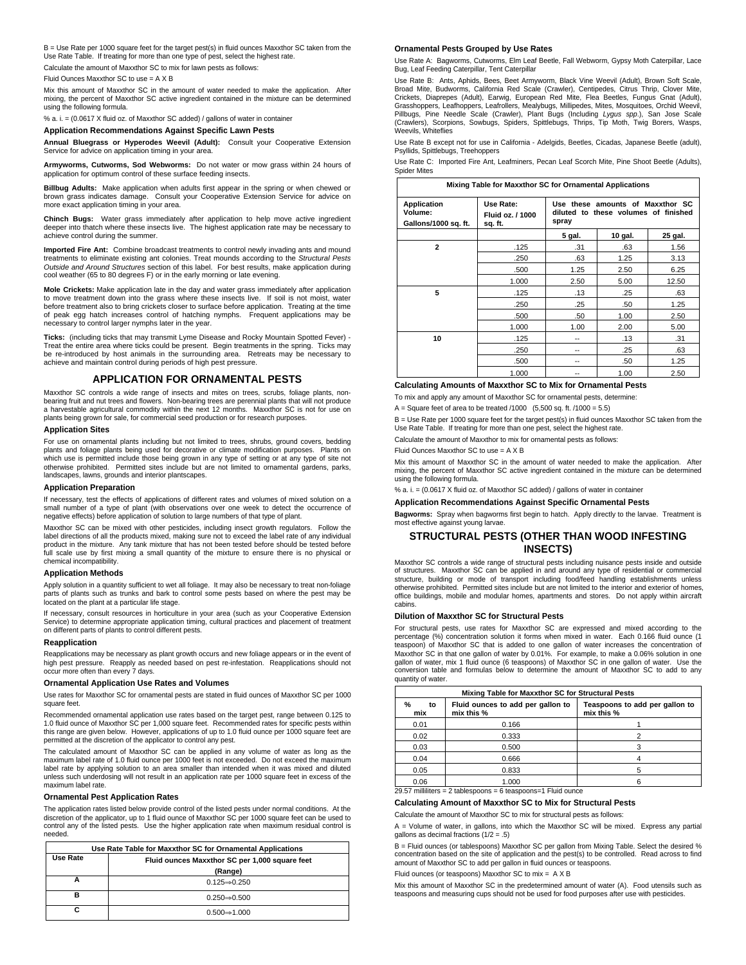B = Use Rate per 1000 square feet for the target pest(s) in fluid ounces Maxxthor SC taken from the Use Rate Table. If treating for more than one type of pest, select the highest rate. Calculate the amount of Maxxthor SC to mix for lawn pests as follows:

Fluid Ounces Maxxthor SC to use = A X B

Mix this amount of Maxxthor SC in the amount of water needed to make the application. After mixing, the percent of Maxxthor SC active ingredient contained in the mixture can be determined using the following formula.

% a. i. = (0.0617 X fluid oz. of Maxxthor SC added) / gallons of water in container

**Application Recommendations Against Specific Lawn Pests** 

**Annual Bluegrass or Hyperodes Weevil (Adult):** Consult your Cooperative Extension Service for advice on application timing in your area.

**Armyworms, Cutworms, Sod Webworms:** Do not water or mow grass within 24 hours of application for optimum control of these surface feeding insects.

**Billbug Adults:** Make application when adults first appear in the spring or when chewed or brown grass indicates damage. Consult your Cooperative Extension Service for advice on more exact application timing in your area.

**Chinch Bugs:** Water grass immediately after application to help move active ingredient deeper into thatch where these insects live. The highest application rate may be necessary to achieve control during the summer.

**Imported Fire Ant:** Combine broadcast treatments to control newly invading ants and mound treatments to eliminate existing ant colonies. Treat mounds according to the *Structural Pests Outside and Around Structures* section of this label. For best results, make application during cool weather (65 to 80 degrees F) or in the early morning or late evening.

**Mole Crickets:** Make application late in the day and water grass immediately after application to move treatment down into the grass where these insects live. If soil is not moist, water before treatment also to bring crickets closer to surface before application. Treating at the time of peak egg hatch increases control of hatching nymphs. Frequent applications may be necessary to control larger nymphs later in the year.

**Ticks:** (including ticks that may transmit Lyme Disease and Rocky Mountain Spotted Fever) - Treat the entire area where ticks could be present. Begin treatments in the spring. Ticks may be re-introduced by host animals in the surrounding area. Retreats may be necessary to achieve and maintain control during periods of high pest pressure.

#### **APPLICATION FOR ORNAMENTAL PESTS**

Maxxthor SC controls a wide range of insects and mites on trees, scrubs, foliage plants, nonbearing fruit and nut trees and flowers. Non-bearing trees are perennial plants that will not produce a harvestable agricultural commodity within the next 12 months. Maxxthor SC is not for use on plants being grown for sale, for commercial seed production or for research purpose.

#### **Application Sites**

For use on ornamental plants including but not limited to trees, shrubs, ground covers, bedding plants and foliage plants being used for decorative or climate modification purposes. Plants on which use is permitted include those being grown in any type of setting or at any type of site not otherwise prohibited. Permitted sites include but are not limited to ornamental gardens, parks, landscapes, lawns, grounds and interior plantscapes.

#### **Application Preparation**

If necessary, test the effects of applications of different rates and volumes of mixed solution on a small number of a type of plant (with observations over one week to detect the occurrence of negative effects) before application of solution to large numbers of that type of plant.

Maxxthor SC can be mixed with other pesticides, including insect growth regulators. Follow the label directions of all the products mixed, making sure not to exceed the label rate of any individual product in the mixture. Any tank mixture that has not been tested before should be tested before full scale use by first mixing a small quantity of the mixture to ensure there is no physical or chemical incompatibility.

#### **Application Methods**

Apply solution in a quantity sufficient to wet all foliage. It may also be necessary to treat non-foliage parts of plants such as trunks and bark to control some pests based on where the pest may be located on the plant at a particular life stage.

If necessary, consult resources in horticulture in your area (such as your Cooperative Extension Service) to determine appropriate application timing, cultural practices and placement of treatment on different parts of plants to control different pests.

#### **Reapplication**

Reapplications may be necessary as plant growth occurs and new foliage appears or in the event of high pest pressure. Reapply as needed based on pest re-infestation. Reapplications should not occur more often than every 7 days.

#### **Ornamental Application Use Rates and Volumes**

Use rates for Maxxthor SC for ornamental pests are stated in fluid ounces of Maxxthor SC per 1000 square feet.

Recommended ornamental application use rates based on the target pest, range between 0.125 to 1.0 fluid ounce of Maxxthor SC per 1,000 square feet. Recommended rates for specific pests within this range are given below. However, applications of up to 1.0 fluid ounce per 1000 square feet are permitted at the discretion of the applicator to control any pest.

The calculated amount of Maxxthor SC can be applied in any volume of water as long as the maximum label rate of 1.0 fluid ounce per 1000 feet is not exceeded. Do not exceed the maximum label rate by applying solution to an area smaller than intended when it was mixed and diluted unless such underdosing will not result in an application rate per 1000 square feet in excess of the maximum label rate.

#### **Ornamental Pest Application Rates**

The application rates listed below provide control of the listed pests under normal conditions. At the discretion of the applicator, up to 1 fluid ounce of Maxxthor SC per 1000 square feet can be used to control any of the listed pests. Use the higher application rate when maximum residual control is needed.

| Use Rate Table for Maxxthor SC for Ornamental Applications |                                                |  |
|------------------------------------------------------------|------------------------------------------------|--|
| Use Rate                                                   | Fluid ounces Maxxthor SC per 1,000 square feet |  |
|                                                            | (Range)                                        |  |
|                                                            | $0.125 \rightarrow 0.250$                      |  |
| в                                                          | $0.250 \rightarrow 0.500$                      |  |
| C                                                          | $0.500 \rightarrow 1.000$                      |  |

#### **Ornamental Pests Grouped by Use Rates**

Use Rate A: Bagworms, Cutworms, Elm Leaf Beetle, Fall Webworm, Gypsy Moth Caterpillar, Lace Bug, Leaf Feeding Caterpillar, Tent Caterpillar

Use Rate B: Ants, Aphids, Bees, Beet Armyworm, Black Vine Weevil (Adult), Brown Soft Scale, Broad Mite, Budworms, California Red Scale (Crawler), Centipedes, Citrus Thrip, Clover Mite, Crickets, Diaprepes (Adult), Earwig, European Red Mite, Flea Beetles, Fungus Gnat (Adult), Grasshoppers, Leafhoppers, Leafrollers, Mealybugs, Millipedes, Mites, Mosquitoes, Orchid Weevil, Pillbugs, Pine Needle Scale (Crawler), Plant Bugs (Including *Lygus spp*.), San Jose Scale (Crawlers), Scorpions, Sowbugs, Spiders, Spittlebugs, Thrips, Tip Moth, Twig Borers, Wasps, Weevils, Whiteflies

Use Rate B except not for use in California - Adelgids, Beetles, Cicadas, Japanese Beetle (adult), Psyllids, Spittlebugs, Treehoppers

Use Rate C: Imported Fire Ant, Leafminers, Pecan Leaf Scorch Mite, Pine Shoot Beetle (Adults), Spider Mites

| Mixing Table for Maxxthor SC for Ornamental Applications |                                          |                                                                                   |         |         |
|----------------------------------------------------------|------------------------------------------|-----------------------------------------------------------------------------------|---------|---------|
| Application<br>Volume:<br>Gallons/1000 sq. ft.           | Use Rate:<br>Fluid oz. / 1000<br>sq. ft. | Use these amounts of Maxxthor SC<br>diluted to these volumes of finished<br>spray |         |         |
|                                                          |                                          | 5 gal.                                                                            | 10 gal. | 25 gal. |
| $\overline{a}$                                           | .125                                     | .31                                                                               | .63     | 1.56    |
|                                                          | .250                                     | .63                                                                               | 1.25    | 3.13    |
|                                                          | .500                                     | 1.25                                                                              | 2.50    | 6.25    |
|                                                          | 1.000                                    | 2.50                                                                              | 5.00    | 12.50   |
| 5                                                        | .125                                     | .13                                                                               | .25     | .63     |
|                                                          | .250                                     | .25                                                                               | .50     | 1.25    |
|                                                          | .500                                     | .50                                                                               | 1.00    | 2.50    |
|                                                          | 1.000                                    | 1.00                                                                              | 2.00    | 5.00    |
| 10                                                       | .125                                     | --                                                                                | .13     | .31     |
|                                                          | .250                                     | --                                                                                | .25     | .63     |
|                                                          | .500                                     | --                                                                                | .50     | 1.25    |
|                                                          | 1.000                                    |                                                                                   | 1.00    | 2.50    |

# **Calculating Amounts of Maxxthor SC to Mix for Ornamental Pests**

To mix and apply any amount of Maxxthor SC for ornamental pests, determine:

 $A =$  Square feet of area to be treated  $/1000$   $(5,500$  sq. ft.  $/1000 = 5.5)$ 

B = Use Rate per 1000 square feet for the target pest(s) in fluid ounces Maxxthor SC taken from the Use Rate Table. If treating for more than one pest, select the highest rate.

Calculate the amount of Maxxthor to mix for ornamental pests as follows:

Fluid Ounces Maxxthor SC to use = A X B

Mix this amount of Maxxthor SC in the amount of water needed to make the application. After mixing, the percent of Maxxthor SC active ingredient contained in the mixture can be determined using the following formula.

% a. i.  $=$  (0.0617 X fluid oz. of Maxxthor SC added) / gallons of water in container

**Application Recommendations Against Specific Ornamental Pests** 

**Bagworms:** Spray when bagworms first begin to hatch. Apply directly to the larvae. Treatment is most effective against young larvae.

# **STRUCTURAL PESTS (OTHER THAN WOOD INFESTING INSECTS)**

Maxxthor SC controls a wide range of structural pests including nuisance pests inside and outside of structures. Maxxthor SC can be applied in and around any type of residential or commercial structure, building or mode of transport including food/feed handling establishments unless otherwise prohibited. Permitted sites include but are not limited to the interior and exterior of homes, office buildings, mobile and modular homes, apartments and stores. Do not apply within aircraft cabins.

#### **Dilution of Maxxthor SC for Structural Pests**

For structural pests, use rates for Maxxthor SC are expressed and mixed according to the percentage (%) concentration solution it forms when mixed in water. Each 0.166 fluid ounce (1 teaspoon) of Maxxthor SC that is added to one gallon of water increases the concentration of Maxxthor SC in that one gallon of water by 0.01%. For example, to make a 0.06% solution in one gallon of water, mix 1 fluid ounce (6 teaspoons) of Maxxthor SC in one gallon of water. Use the conversion table and formulas below to determine the amount of Maxxthor SC to add to any quantity of water.

| Mixing Table for Maxxthor SC for Structural Pests |                                                 |                                              |
|---------------------------------------------------|-------------------------------------------------|----------------------------------------------|
| $\%$<br>to<br>mix                                 | Fluid ounces to add per gallon to<br>mix this % | Teaspoons to add per gallon to<br>mix this % |
| 0.01                                              | 0.166                                           |                                              |
| 0.02                                              | 0.333                                           |                                              |
| 0.03                                              | 0.500                                           |                                              |
| 0.04                                              | 0.666                                           |                                              |
| 0.05                                              | 0.833                                           | 5                                            |
| 0.06                                              | 1.000                                           |                                              |

 $29.57$  milliliters = 2 tablespoons = 6 teaspoons=1 Fluid ounc

**Calculating Amount of Maxxthor SC to Mix for Structural Pests** 

Calculate the amount of Maxxthor SC to mix for structural pests as follows:

A = Volume of water, in gallons, into which the Maxxthor SC will be mixed. Express any partial gallons as decimal fractions  $(1/2 = .5)$ 

B = Fluid ounces (or tablespoons) Maxxthor SC per gallon from Mixing Table. Select the desired % concentration based on the site of application and the pest(s) to be controlled. Read across to find amount of Maxxthor SC to add per gallon in fluid ounces or teaspoons.

Fluid ounces (or teaspoons) Maxxthor SC to mix = A X B

Mix this amount of Maxxthor SC in the predetermined amount of water (A). Food utensils such as teaspoons and measuring cups should not be used for food purposes after use with pesticides.